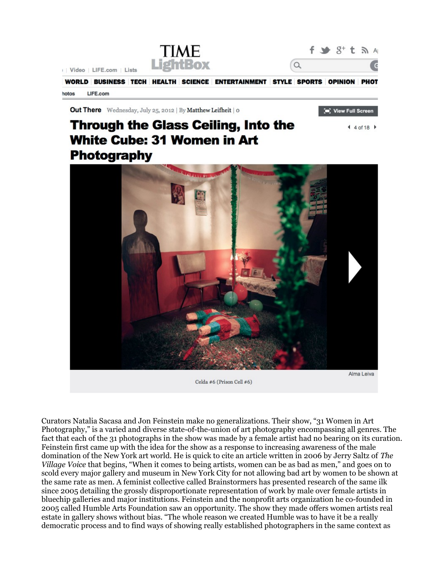

**Out There** Wednesday, July 25, 2012 | By Matthew Leifheit | 0

## **Through the Glass Ceiling, Into the White Cube: 31 Women in Art** Photography



Celda #6 (Prison Cell #6)

Alma Leiva

[m] View Full Screen

 $440f18$ 

Curators Natalia Sacasa and Jon Feinstein make no generalizations. Their show, "31 Women in Art Photography," is a varied and diverse state-of-the-union of art photography encompassing all genres. The fact that each of the 31 photographs in the show was made by a female artist had no bearing on its curation. Feinstein first came up with the idea for the show as a response to increasing awareness of the male domination of the New York art world. He is quick to cite an article written in 2006 by Jerry Saltz of The Village Voice that begins, "When it comes to being artists, women can be as bad as men," and goes on to scold every major gallery and museum in New York City for not allowing bad art by women to be shown at the same rate as men. A feminist collective called Brainstormers has presented research of the same ilk since 2005 detailing the grossly disproportionate representation of work by male over female artists in bluechip galleries and major institutions. Feinstein and the nonprofit arts organization he co-founded in 2005 called Humble Arts Foundation saw an opportunity. The show they made offers women artists real estate in gallery shows without bias. "The whole reason we created Humble was to have it be a really democratic process and to find ways of showing really established photographers in the same context as